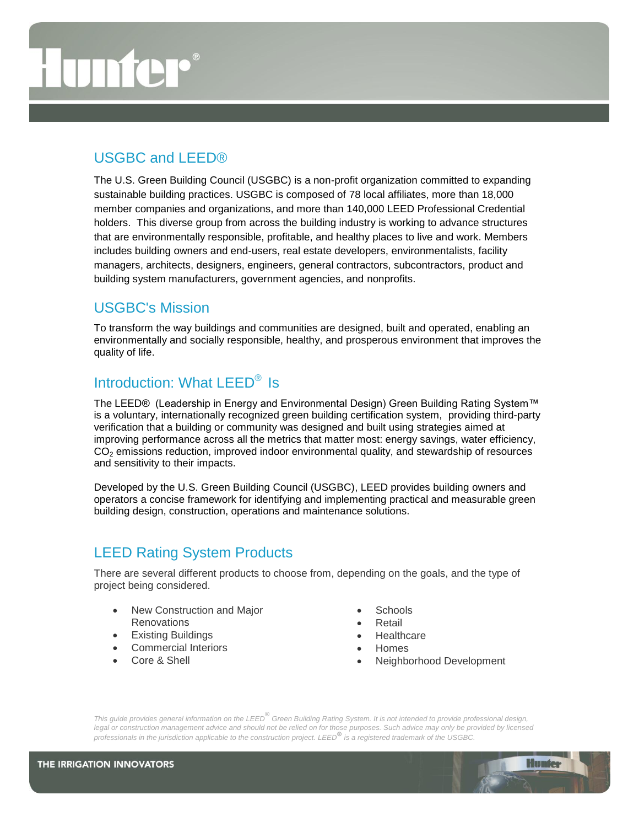## USGBC and LEED®

The U.S. Green Building Council (USGBC) is a non-profit organization committed to expanding sustainable building practices. USGBC is composed of 78 local affiliates, more than 18,000 member companies and organizations, and more than 140,000 LEED Professional Credential holders. This diverse group from across the building industry is working to advance structures that are environmentally responsible, profitable, and healthy places to live and work. Members includes building owners and end-users, real estate developers, environmentalists, facility managers, architects, designers, engineers, general contractors, subcontractors, product and building system manufacturers, government agencies, and nonprofits.

## USGBC's Mission

To transform the way buildings and communities are designed, built and operated, enabling an environmentally and socially responsible, healthy, and prosperous environment that improves the quality of life.

## Introduction: What LEED<sup>®</sup> Is

The [LEED® \(Leadership in Energy and Environmental Design\) Green Building Rating System™](http://www.leedbuilding.org/DisplayPage.aspx?CMSPageID=222) is a voluntary, internationally recognized green building certification system, providing third-party verification that a building or community was designed and built using strategies aimed at improving performance across all the metrics that matter most: energy savings, water efficiency,  $CO<sub>2</sub>$  emissions reduction, improved indoor environmental quality, and stewardship of resources and sensitivity to their impacts.

Developed by the [U.S. Green Building Council \(USGBC\),](http://www.usgbc.org/About) LEED provides building owners and operators a concise framework for identifying and implementing practical and measurable green building design, construction, operations and maintenance solutions.

# LEED Rating System Products

There are several different products to choose from, depending on the goals, and the type of project being considered.

- New Construction and Major **Renovations**
- **•** Existing Buildings
- Commercial Interiors
- Core & Shell
- **Schools**
- Retail
- **Healthcare**
- Homes
- Neighborhood Development

**Hunter**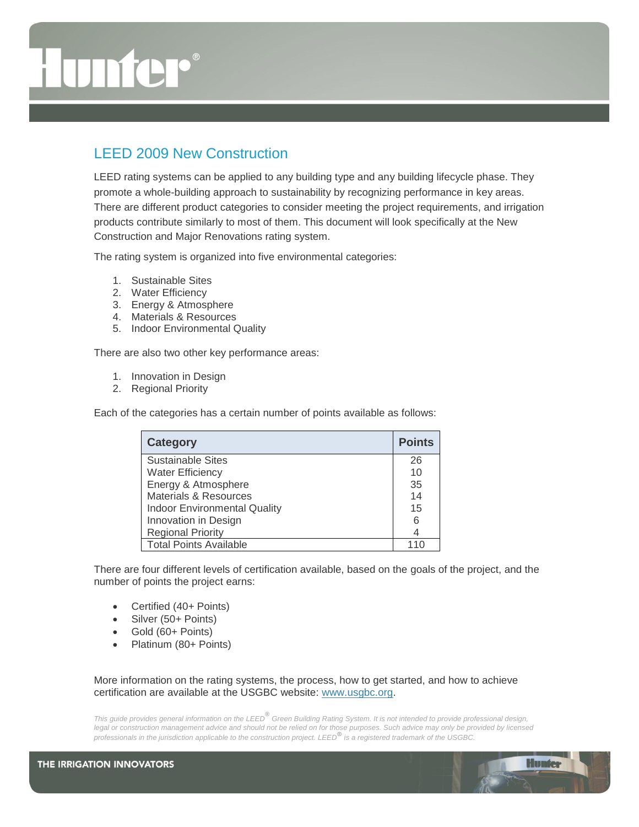# LEED 2009 New Construction

LEED rating systems can be applied to any building type and any building lifecycle phase. They promote a whole-building approach to sustainability by recognizing performance in key areas. There are different product categories to consider meeting the project requirements, and irrigation products contribute similarly to most of them. This document will look specifically at the New Construction and Major Renovations rating system.

The rating system is organized into five environmental categories:

- 1. Sustainable Sites
- 2. Water Efficiency
- 3. Energy & Atmosphere
- 4. Materials & Resources
- 5. Indoor Environmental Quality

There are also two other key performance areas:

- 1. Innovation in Design
- 2. Regional Priority

Each of the categories has a certain number of points available as follows:

| <b>Category</b>                     | <b>Points</b> |
|-------------------------------------|---------------|
| <b>Sustainable Sites</b>            | 26            |
| <b>Water Efficiency</b>             | 10            |
| Energy & Atmosphere                 | 35            |
| Materials & Resources               | 14            |
| <b>Indoor Environmental Quality</b> | 15            |
| Innovation in Design                | 6             |
| <b>Regional Priority</b>            |               |
| <b>Total Points Available</b>       |               |

There are four different levels of certification available, based on the goals of the project, and the number of points the project earns:

- Certified (40+ Points)
- Silver (50+ Points)
- Gold (60+ Points)
- Platinum (80+ Points)

More information on the rating systems, the process, how to get started, and how to achieve certification are available at the USGBC website: [www.usgbc.org.](http://www.usgbc.org/)

*This guide provides general information on the LEED***®** *Green Building Rating System. It is not intended to provide professional design,*  legal or construction management advice and should not be relied on for those purposes. Such advice may only be provided by licensed *professionals in the jurisdiction applicable to the construction project. LEED***®** *is a registered trademark of the USGBC.*

**Hunter**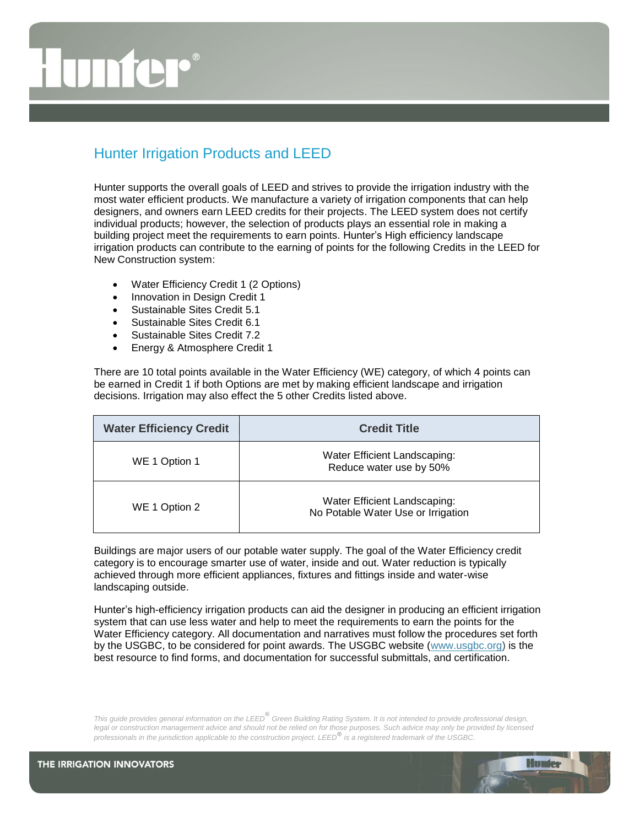# Hunter Irrigation Products and LEED

Hunter supports the overall goals of LEED and strives to provide the irrigation industry with the most water efficient products. We manufacture a variety of irrigation components that can help designers, and owners earn LEED credits for their projects. The LEED system does not certify individual products; however, the selection of products plays an essential role in making a building project meet the requirements to earn points. Hunter's High efficiency landscape irrigation products can contribute to the earning of points for the following Credits in the LEED for New Construction system:

- Water Efficiency Credit 1 (2 Options)
- Innovation in Design Credit 1
- Sustainable Sites Credit 5.1
- Sustainable Sites Credit 6.1
- Sustainable Sites Credit 7.2
- Energy & Atmosphere Credit 1

There are 10 total points available in the Water Efficiency (WE) category, of which 4 points can be earned in Credit 1 if both Options are met by making efficient landscape and irrigation decisions. Irrigation may also effect the 5 other Credits listed above.

| <b>Water Efficiency Credit</b> | <b>Credit Title</b>                                                |
|--------------------------------|--------------------------------------------------------------------|
| WE 1 Option 1                  | Water Efficient Landscaping:<br>Reduce water use by 50%            |
| WE 1 Option 2                  | Water Efficient Landscaping:<br>No Potable Water Use or Irrigation |

Buildings are major users of our potable water supply. The goal of the Water Efficiency credit category is to encourage smarter use of water, inside and out. Water reduction is typically achieved through more efficient appliances, fixtures and fittings inside and water-wise landscaping outside.

Hunter's high-efficiency irrigation products can aid the designer in producing an efficient irrigation system that can use less water and help to meet the requirements to earn the points for the Water Efficiency category. All documentation and narratives must follow the procedures set forth by the USGBC, to be considered for point awards. The USGBC website [\(www.usgbc.org\)](http://www.usgbc.org/) is the best resource to find forms, and documentation for successful submittals, and certification.

*This guide provides general information on the LEED***®** *Green Building Rating System. It is not intended to provide professional design,*  legal or construction management advice and should not be relied on for those purposes. Such advice may only be provided by licensed *professionals in the jurisdiction applicable to the construction project. LEED***®** *is a registered trademark of the USGBC.*

**Hunter**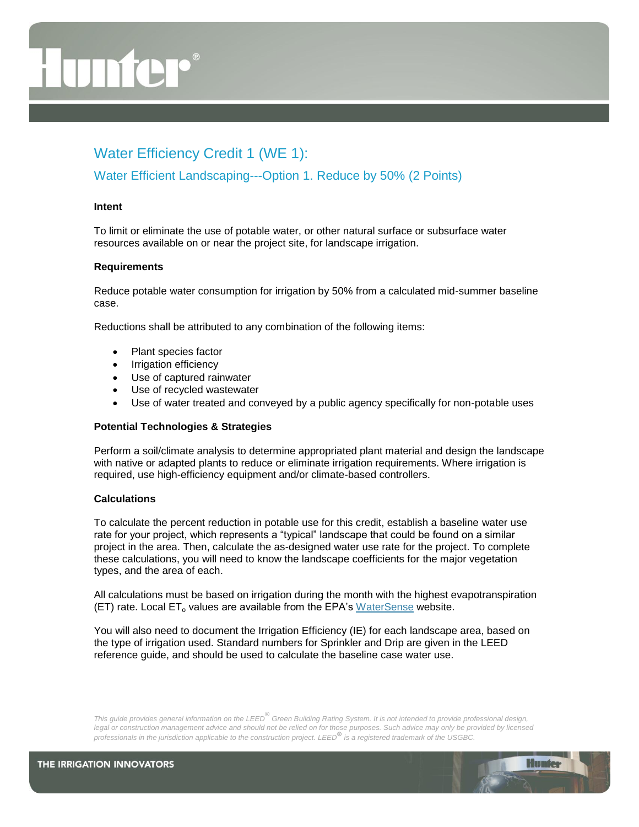# Water Efficiency Credit 1 (WE 1):

## Water Efficient Landscaping---Option 1. Reduce by 50% (2 Points)

## **Intent**

To limit or eliminate the use of potable water, or other natural surface or subsurface water resources available on or near the project site, for landscape irrigation.

### **Requirements**

Reduce potable water consumption for irrigation by 50% from a calculated mid-summer baseline case.

Reductions shall be attributed to any combination of the following items:

- Plant species factor
- Irrigation efficiency
- Use of captured rainwater
- Use of recycled wastewater
- Use of water treated and conveyed by a public agency specifically for non-potable uses

## **Potential Technologies & Strategies**

Perform a soil/climate analysis to determine appropriated plant material and design the landscape with native or adapted plants to reduce or eliminate irrigation requirements. Where irrigation is required, use high-efficiency equipment and/or climate-based controllers.

## **Calculations**

To calculate the percent reduction in potable use for this credit, establish a baseline water use rate for your project, which represents a "typical" landscape that could be found on a similar project in the area. Then, calculate the as-designed water use rate for the project. To complete these calculations, you will need to know the landscape coefficients for the major vegetation types, and the area of each.

All calculations must be based on irrigation during the month with the highest evapotranspiration (ET) rate. Local  $ET_0$  values are available from the EPA's [WaterSense](http://www.epa.gov/watersense/nhspecs/wb_data_finder.html) website.

You will also need to document the Irrigation Efficiency (IE) for each landscape area, based on the type of irrigation used. Standard numbers for Sprinkler and Drip are given in the LEED reference guide, and should be used to calculate the baseline case water use.

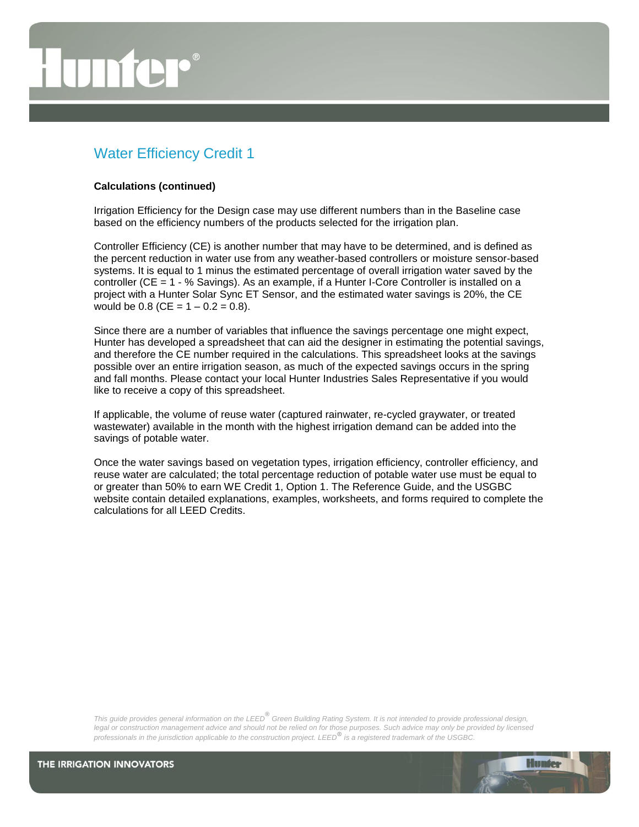# Water Efficiency Credit 1

#### **Calculations (continued)**

Irrigation Efficiency for the Design case may use different numbers than in the Baseline case based on the efficiency numbers of the products selected for the irrigation plan.

Controller Efficiency (CE) is another number that may have to be determined, and is defined as the percent reduction in water use from any weather-based controllers or moisture sensor-based systems. It is equal to 1 minus the estimated percentage of overall irrigation water saved by the controller (CE = 1 - % Savings). As an example, if a Hunter I-Core Controller is installed on a project with a Hunter Solar Sync ET Sensor, and the estimated water savings is 20%, the CE would be  $0.8$  (CE =  $1 - 0.2 = 0.8$ ).

Since there are a number of variables that influence the savings percentage one might expect, Hunter has developed a spreadsheet that can aid the designer in estimating the potential savings, and therefore the CE number required in the calculations. This spreadsheet looks at the savings possible over an entire irrigation season, as much of the expected savings occurs in the spring and fall months. Please contact your local Hunter Industries Sales Representative if you would like to receive a copy of this spreadsheet.

If applicable, the volume of reuse water (captured rainwater, re-cycled graywater, or treated wastewater) available in the month with the highest irrigation demand can be added into the savings of potable water.

Once the water savings based on vegetation types, irrigation efficiency, controller efficiency, and reuse water are calculated; the total percentage reduction of potable water use must be equal to or greater than 50% to earn WE Credit 1, Option 1. The Reference Guide, and the USGBC website contain detailed explanations, examples, worksheets, and forms required to complete the calculations for all LEED Credits.

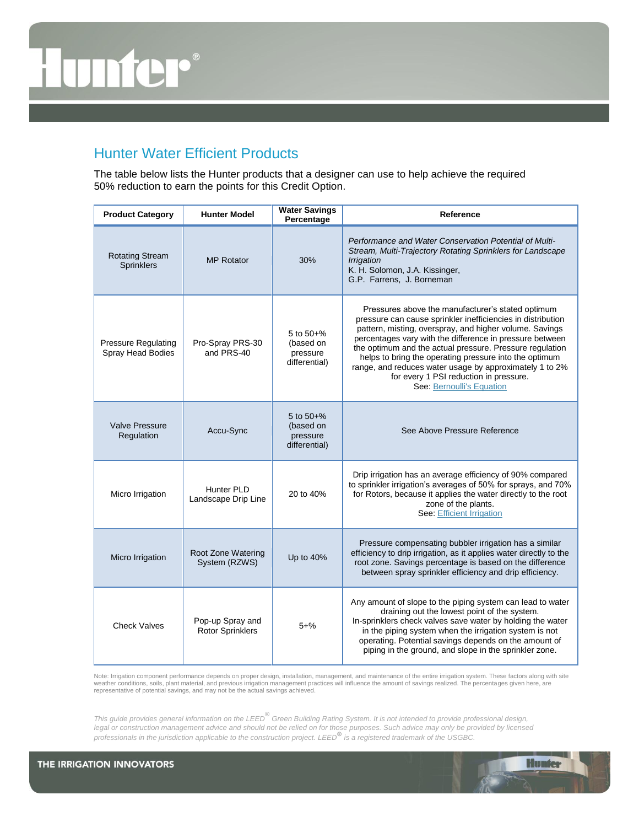# **TITLE**

# Hunter Water Efficient Products

The table below lists the Hunter products that a designer can use to help achieve the required 50% reduction to earn the points for this Credit Option.

| <b>Product Category</b>                         | <b>Hunter Model</b>                  | <b>Water Savings</b><br>Percentage                    | Reference                                                                                                                                                                                                                                                                                                                                                                                                                                                                                       |
|-------------------------------------------------|--------------------------------------|-------------------------------------------------------|-------------------------------------------------------------------------------------------------------------------------------------------------------------------------------------------------------------------------------------------------------------------------------------------------------------------------------------------------------------------------------------------------------------------------------------------------------------------------------------------------|
| <b>Rotating Stream</b><br><b>Sprinklers</b>     | <b>MP Rotator</b>                    | 30%                                                   | Performance and Water Conservation Potential of Multi-<br>Stream, Multi-Trajectory Rotating Sprinklers for Landscape<br><b>Irrigation</b><br>K. H. Solomon, J.A. Kissinger,<br>G.P. Farrens, J. Borneman                                                                                                                                                                                                                                                                                        |
| <b>Pressure Regulating</b><br>Spray Head Bodies | Pro-Spray PRS-30<br>and PRS-40       | 5 to $50+%$<br>(based on<br>pressure<br>differential) | Pressures above the manufacturer's stated optimum<br>pressure can cause sprinkler inefficiencies in distribution<br>pattern, misting, overspray, and higher volume. Savings<br>percentages vary with the difference in pressure between<br>the optimum and the actual pressure. Pressure regulation<br>helps to bring the operating pressure into the optimum<br>range, and reduces water usage by approximately 1 to 2%<br>for every 1 PSI reduction in pressure.<br>See: Bernoulli's Equation |
| <b>Valve Pressure</b><br>Regulation             | Accu-Sync                            | 5 to $50+%$<br>(based on<br>pressure<br>differential) | See Above Pressure Reference                                                                                                                                                                                                                                                                                                                                                                                                                                                                    |
| Micro Irrigation                                | Hunter PLD<br>Landscape Drip Line    | 20 to 40%                                             | Drip irrigation has an average efficiency of 90% compared<br>to sprinkler irrigation's averages of 50% for sprays, and 70%<br>for Rotors, because it applies the water directly to the root<br>zone of the plants.<br>See. Efficient Irrigation                                                                                                                                                                                                                                                 |
| Micro Irrigation                                | Root Zone Watering<br>System (RZWS)  | Up to 40%                                             | Pressure compensating bubbler irrigation has a similar<br>efficiency to drip irrigation, as it applies water directly to the<br>root zone. Savings percentage is based on the difference<br>between spray sprinkler efficiency and drip efficiency.                                                                                                                                                                                                                                             |
| <b>Check Valves</b>                             | Pop-up Spray and<br>Rotor Sprinklers | $5 + \%$                                              | Any amount of slope to the piping system can lead to water<br>draining out the lowest point of the system.<br>In-sprinklers check valves save water by holding the water<br>in the piping system when the irrigation system is not<br>operating. Potential savings depends on the amount of<br>piping in the ground, and slope in the sprinkler zone.                                                                                                                                           |

Note: Irrigation component performance depends on proper design, installation, management, and maintenance of the entire irrigation system. These factors along with site weather conditions, soils, plant material, and previous irrigation management practices will influence the amount of savings realized. The percentages given here, are<br>representative of potential savings, and may not be the

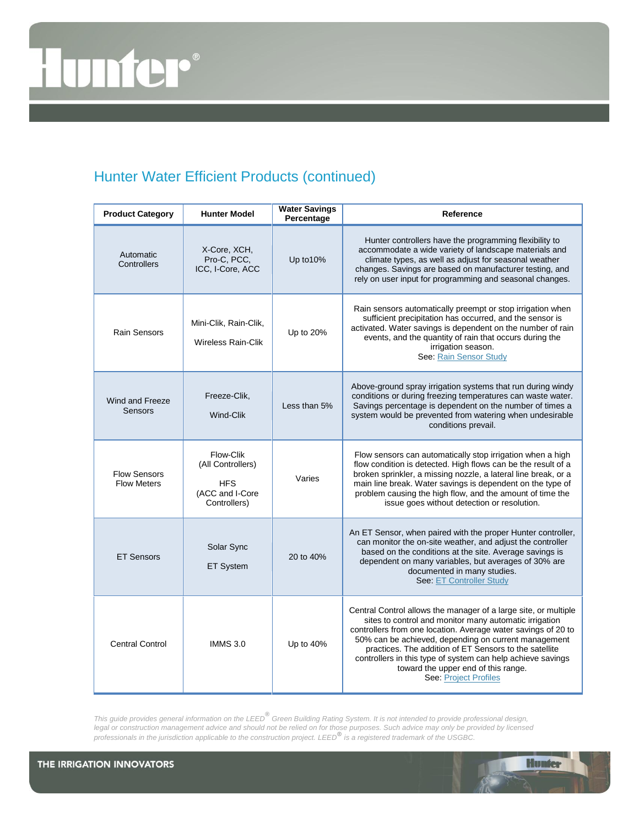# $\odot$ **TITT**

# Hunter Water Efficient Products (continued)

| <b>Product Category</b>                   | <b>Hunter Model</b>                                                             | <b>Water Savings</b><br>Percentage | Reference                                                                                                                                                                                                                                                                                                                                                                                                                                          |
|-------------------------------------------|---------------------------------------------------------------------------------|------------------------------------|----------------------------------------------------------------------------------------------------------------------------------------------------------------------------------------------------------------------------------------------------------------------------------------------------------------------------------------------------------------------------------------------------------------------------------------------------|
| Automatic<br>Controllers                  | X-Core, XCH,<br>Pro-C, PCC,<br>ICC, I-Core, ACC                                 | Up to 10%                          | Hunter controllers have the programming flexibility to<br>accommodate a wide variety of landscape materials and<br>climate types, as well as adjust for seasonal weather<br>changes. Savings are based on manufacturer testing, and<br>rely on user input for programming and seasonal changes.                                                                                                                                                    |
| <b>Rain Sensors</b>                       | Mini-Clik, Rain-Clik,<br><b>Wireless Rain-Clik</b>                              | Up to 20%                          | Rain sensors automatically preempt or stop irrigation when<br>sufficient precipitation has occurred, and the sensor is<br>activated. Water savings is dependent on the number of rain<br>events, and the quantity of rain that occurs during the<br>irrigation season.<br>See: Rain Sensor Study                                                                                                                                                   |
| Wind and Freeze<br>Sensors                | Freeze-Clik,<br>Wind-Clik                                                       | Less than 5%                       | Above-ground spray irrigation systems that run during windy<br>conditions or during freezing temperatures can waste water.<br>Savings percentage is dependent on the number of times a<br>system would be prevented from watering when undesirable<br>conditions prevail.                                                                                                                                                                          |
| <b>Flow Sensors</b><br><b>Flow Meters</b> | Flow-Clik<br>(All Controllers)<br><b>HFS</b><br>(ACC and I-Core<br>Controllers) | Varies                             | Flow sensors can automatically stop irrigation when a high<br>flow condition is detected. High flows can be the result of a<br>broken sprinkler, a missing nozzle, a lateral line break, or a<br>main line break. Water savings is dependent on the type of<br>problem causing the high flow, and the amount of time the<br>issue goes without detection or resolution.                                                                            |
| <b>ET Sensors</b>                         | Solar Sync<br><b>ET System</b>                                                  | 20 to 40%                          | An ET Sensor, when paired with the proper Hunter controller,<br>can monitor the on-site weather, and adjust the controller<br>based on the conditions at the site. Average savings is<br>dependent on many variables, but averages of 30% are<br>documented in many studies.<br>See: ET Controller Study                                                                                                                                           |
| <b>Central Control</b>                    | <b>IMMS 3.0</b>                                                                 | Up to 40%                          | Central Control allows the manager of a large site, or multiple<br>sites to control and monitor many automatic irrigation<br>controllers from one location. Average water savings of 20 to<br>50% can be achieved, depending on current management<br>practices. The addition of ET Sensors to the satellite<br>controllers in this type of system can help achieve savings<br>toward the upper end of this range.<br><b>See: Project Profiles</b> |

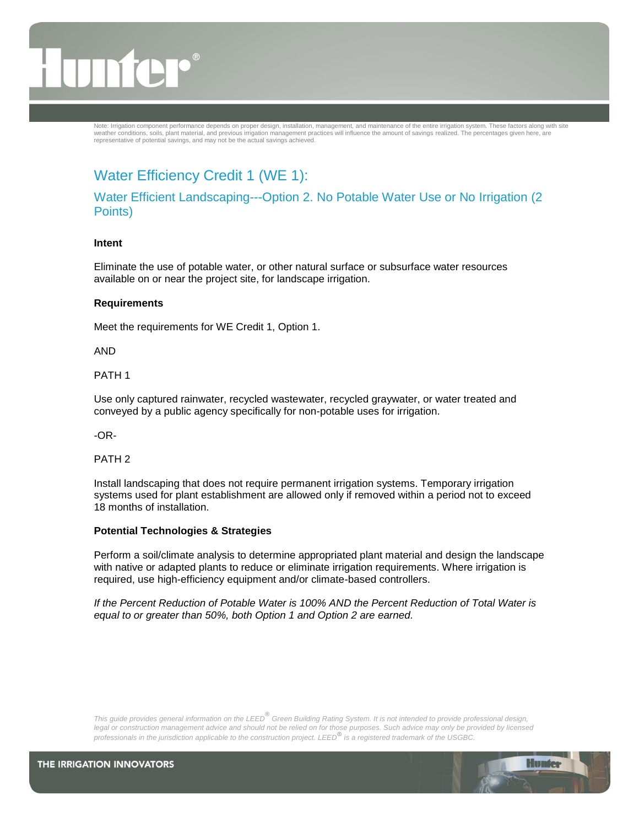Note: Irrigation component performance depends on proper design, installation, management, and maintenance of the entire irrigation system. These factors along with site<br>weather conditions, soils, plant material, and previ representative of potential savings, and may not be the actual savings achieved.

# Water Efficiency Credit 1 (WE 1):

Water Efficient Landscaping---Option 2. No Potable Water Use or No Irrigation (2 Points)

#### **Intent**

Eliminate the use of potable water, or other natural surface or subsurface water resources available on or near the project site, for landscape irrigation.

#### **Requirements**

Meet the requirements for WE Credit 1, Option 1.

AND

PATH 1

Use only captured rainwater, recycled wastewater, recycled graywater, or water treated and conveyed by a public agency specifically for non-potable uses for irrigation.

-OR-

PATH 2

Install landscaping that does not require permanent irrigation systems. Temporary irrigation systems used for plant establishment are allowed only if removed within a period not to exceed 18 months of installation.

### **Potential Technologies & Strategies**

Perform a soil/climate analysis to determine appropriated plant material and design the landscape with native or adapted plants to reduce or eliminate irrigation requirements. Where irrigation is required, use high-efficiency equipment and/or climate-based controllers.

*If the Percent Reduction of Potable Water is 100% AND the Percent Reduction of Total Water is equal to or greater than 50%, both Option 1 and Option 2 are earned.*

*This guide provides general information on the LEED***®** *Green Building Rating System. It is not intended to provide professional design,*  legal or construction management advice and should not be relied on for those purposes. Such advice may only be provided by licensed *professionals in the jurisdiction applicable to the construction project. LEED***®** *is a registered trademark of the USGBC.*

**Hunter**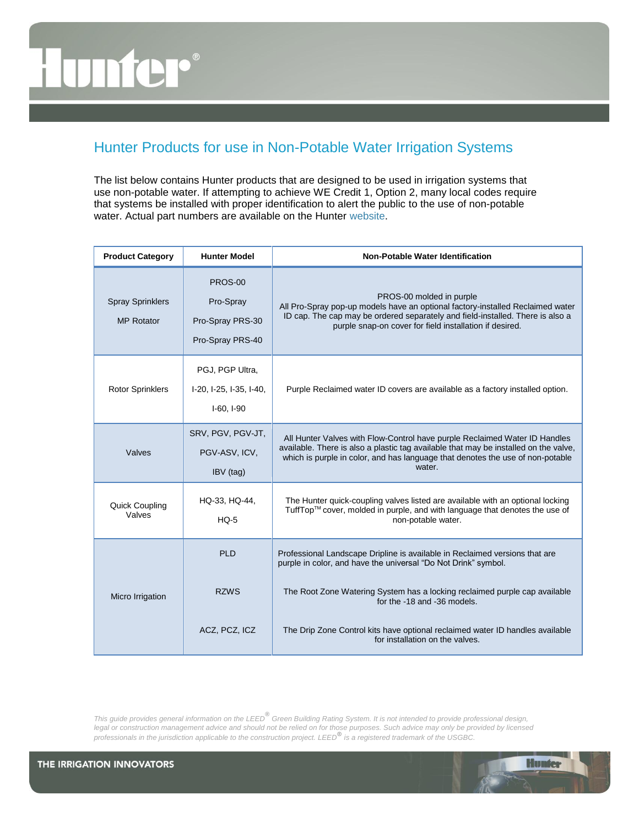# m

# Hunter Products for use in Non-Potable Water Irrigation Systems

The list below contains Hunter products that are designed to be used in irrigation systems that use non-potable water. If attempting to achieve WE Credit 1, Option 2, many local codes require that systems be installed with proper identification to alert the public to the use of non-potable water. Actual part numbers are available on the Hunter [website.](http://www.hunterindustries.com/Products/Miscellaneous/reclaimed_water.html)

| <b>Product Category</b>                      | <b>Hunter Model</b>                                          | Non-Potable Water Identification                                                                                                                                                                                                                               |
|----------------------------------------------|--------------------------------------------------------------|----------------------------------------------------------------------------------------------------------------------------------------------------------------------------------------------------------------------------------------------------------------|
| <b>Spray Sprinklers</b><br><b>MP Rotator</b> | PROS-00<br>Pro-Spray<br>Pro-Spray PRS-30<br>Pro-Spray PRS-40 | PROS-00 molded in purple<br>All Pro-Spray pop-up models have an optional factory-installed Reclaimed water<br>ID cap. The cap may be ordered separately and field-installed. There is also a<br>purple snap-on cover for field installation if desired.        |
| <b>Rotor Sprinklers</b>                      | PGJ, PGP Ultra,<br>I-20, I-25, I-35, I-40,<br>$I-60, I-90$   | Purple Reclaimed water ID covers are available as a factory installed option.                                                                                                                                                                                  |
| Valves                                       | SRV, PGV, PGV-JT,<br>PGV-ASV, ICV,<br>IBV (tag)              | All Hunter Valves with Flow-Control have purple Reclaimed Water ID Handles<br>available. There is also a plastic tag available that may be installed on the valve,<br>which is purple in color, and has language that denotes the use of non-potable<br>water. |
| <b>Quick Coupling</b><br>Valves              | HQ-33, HQ-44,<br>$HO-5$                                      | The Hunter quick-coupling valves listed are available with an optional locking<br>TuffTop™ cover, molded in purple, and with language that denotes the use of<br>non-potable water.                                                                            |
| Micro Irrigation                             | PI <sub>D</sub>                                              | Professional Landscape Dripline is available in Reclaimed versions that are<br>purple in color, and have the universal "Do Not Drink" symbol.                                                                                                                  |
|                                              | <b>RZWS</b>                                                  | The Root Zone Watering System has a locking reclaimed purple cap available<br>for the -18 and -36 models.                                                                                                                                                      |
|                                              | ACZ, PCZ, ICZ                                                | The Drip Zone Control kits have optional reclaimed water ID handles available<br>for installation on the valves.                                                                                                                                               |

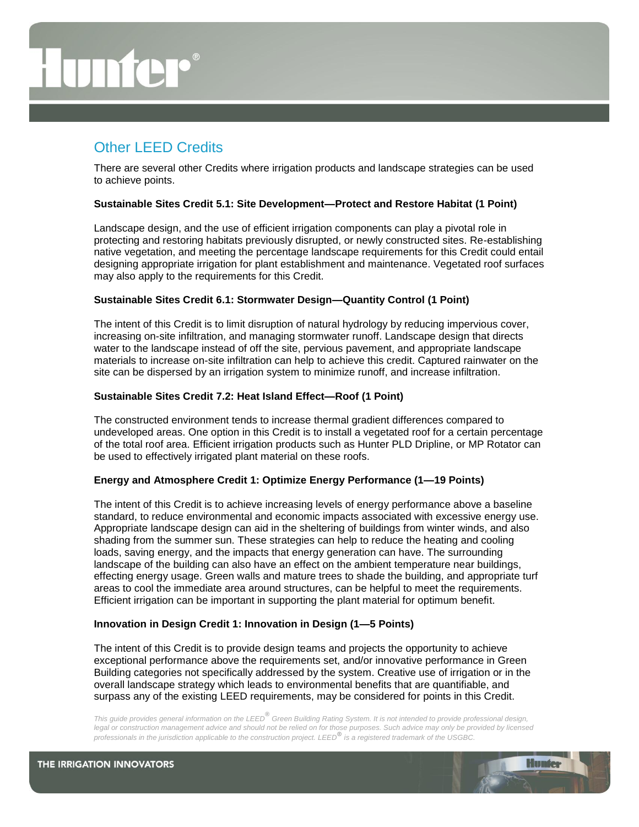# Other LEED Credits

There are several other Credits where irrigation products and landscape strategies can be used to achieve points.

#### **Sustainable Sites Credit 5.1: Site Development—Protect and Restore Habitat (1 Point)**

Landscape design, and the use of efficient irrigation components can play a pivotal role in protecting and restoring habitats previously disrupted, or newly constructed sites. Re-establishing native vegetation, and meeting the percentage landscape requirements for this Credit could entail designing appropriate irrigation for plant establishment and maintenance. Vegetated roof surfaces may also apply to the requirements for this Credit.

#### **Sustainable Sites Credit 6.1: Stormwater Design—Quantity Control (1 Point)**

The intent of this Credit is to limit disruption of natural hydrology by reducing impervious cover, increasing on-site infiltration, and managing stormwater runoff. Landscape design that directs water to the landscape instead of off the site, pervious pavement, and appropriate landscape materials to increase on-site infiltration can help to achieve this credit. Captured rainwater on the site can be dispersed by an irrigation system to minimize runoff, and increase infiltration.

#### **Sustainable Sites Credit 7.2: Heat Island Effect—Roof (1 Point)**

The constructed environment tends to increase thermal gradient differences compared to undeveloped areas. One option in this Credit is to install a vegetated roof for a certain percentage of the total roof area. Efficient irrigation products such as Hunter PLD Dripline, or MP Rotator can be used to effectively irrigated plant material on these roofs.

#### **Energy and Atmosphere Credit 1: Optimize Energy Performance (1—19 Points)**

The intent of this Credit is to achieve increasing levels of energy performance above a baseline standard, to reduce environmental and economic impacts associated with excessive energy use. Appropriate landscape design can aid in the sheltering of buildings from winter winds, and also shading from the summer sun. These strategies can help to reduce the heating and cooling loads, saving energy, and the impacts that energy generation can have. The surrounding landscape of the building can also have an effect on the ambient temperature near buildings, effecting energy usage. Green walls and mature trees to shade the building, and appropriate turf areas to cool the immediate area around structures, can be helpful to meet the requirements. Efficient irrigation can be important in supporting the plant material for optimum benefit.

#### **Innovation in Design Credit 1: Innovation in Design (1—5 Points)**

The intent of this Credit is to provide design teams and projects the opportunity to achieve exceptional performance above the requirements set, and/or innovative performance in Green Building categories not specifically addressed by the system. Creative use of irrigation or in the overall landscape strategy which leads to environmental benefits that are quantifiable, and surpass any of the existing LEED requirements, may be considered for points in this Credit.